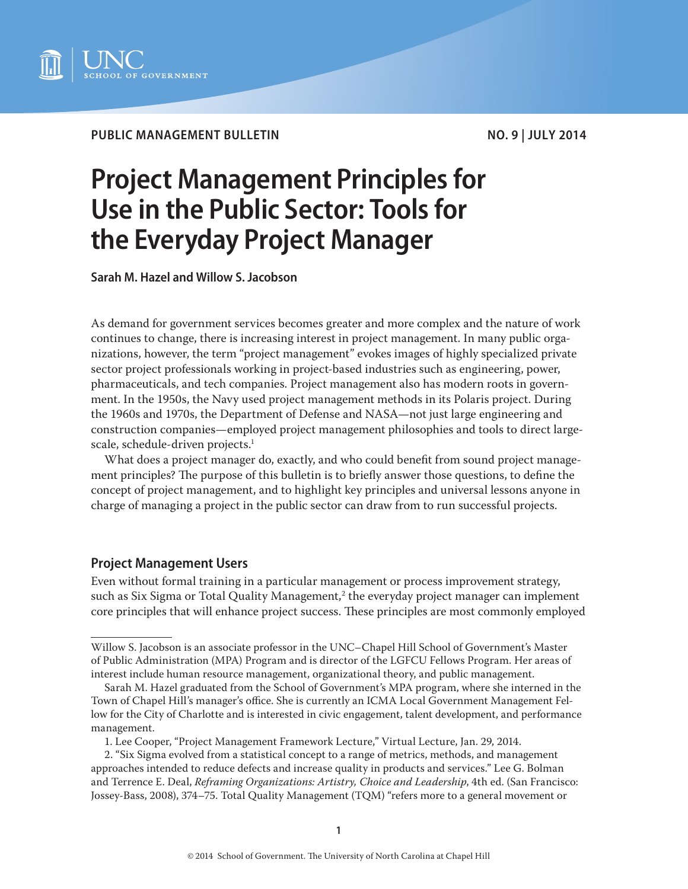

**PUBLIC MANAGEMENT BULLETIN NO. 9 | JULY 2014** 

# **Project Management Principles for Use in the Public Sector: Tools for the Everyday Project Manager**

**Sarah M. Hazel and Willow S. Jacobson**

As demand for government services becomes greater and more complex and the nature of work continues to change, there is increasing interest in project management. In many public organizations, however, the term "project management" evokes images of highly specialized private sector project professionals working in project-based industries such as engineering, power, pharmaceuticals, and tech companies. Project management also has modern roots in government. In the 1950s, the Navy used project management methods in its Polaris project. During the 1960s and 1970s, the Department of Defense and NASA—not just large engineering and construction companies—employed project management philosophies and tools to direct largescale, schedule-driven projects.<sup>1</sup>

What does a project manager do, exactly, and who could benefit from sound project management principles? The purpose of this bulletin is to briefly answer those questions, to define the concept of project management, and to highlight key principles and universal lessons anyone in charge of managing a project in the public sector can draw from to run successful projects.

#### **Project Management Users**

Even without formal training in a particular management or process improvement strategy, such as Six Sigma or Total Quality Management, $^2$  the everyday project manager can implement core principles that will enhance project success. These principles are most commonly employed

1. Lee Cooper, "Project Management Framework Lecture," Virtual Lecture, Jan. 29, 2014.

Willow S. Jacobson is an associate professor in the UNC–Chapel Hill School of Government's Master of Public Administration (MPA) Program and is director of the LGFCU Fellows Program. Her areas of interest include human resource management, organizational theory, and public management.

Sarah M. Hazel graduated from the School of Government's MPA program, where she interned in the Town of Chapel Hill's manager's office. She is currently an ICMA Local Government Management Fellow for the City of Charlotte and is interested in civic engagement, talent development, and performance management.

<sup>2. &</sup>quot;Six Sigma evolved from a statistical concept to a range of metrics, methods, and management approaches intended to reduce defects and increase quality in products and services." Lee G. Bolman and Terrence E. Deal, *Reframing Organizations: Artistry, Choice and Leadership*, 4th ed. (San Francisco: Jossey-Bass, 2008), 374–75. Total Quality Management (TQM) "refers more to a general movement or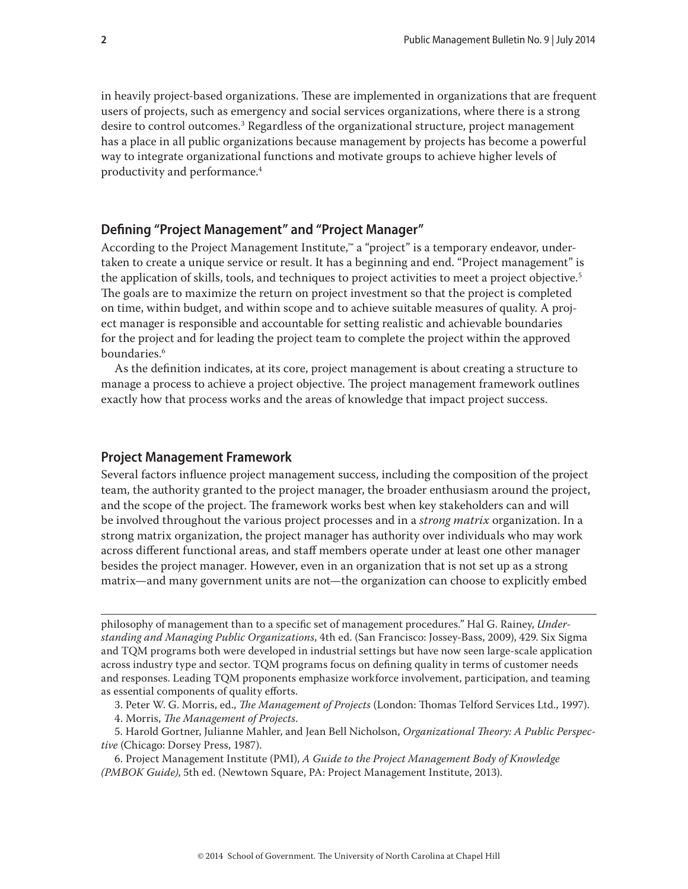in heavily project-based organizations. These are implemented in organizations that are frequent users of projects, such as emergency and social services organizations, where there is a strong desire to control outcomes.3 Regardless of the organizational structure, project management has a place in all public organizations because management by projects has become a powerful way to integrate organizational functions and motivate groups to achieve higher levels of productivity and performance.4

# **Defining "Project Management" and "Project Manager"**

According to the Project Management Institute,™ a "project" is a temporary endeavor, undertaken to create a unique service or result. It has a beginning and end. "Project management" is the application of skills, tools, and techniques to project activities to meet a project objective.<sup>5</sup> The goals are to maximize the return on project investment so that the project is completed on time, within budget, and within scope and to achieve suitable measures of quality. A project manager is responsible and accountable for setting realistic and achievable boundaries for the project and for leading the project team to complete the project within the approved boundaries.<sup>6</sup>

As the definition indicates, at its core, project management is about creating a structure to manage a process to achieve a project objective. The project management framework outlines exactly how that process works and the areas of knowledge that impact project success.

#### **Project Management Framework**

Several factors influence project management success, including the composition of the project team, the authority granted to the project manager, the broader enthusiasm around the project, and the scope of the project. The framework works best when key stakeholders can and will be involved throughout the various project processes and in a *strong matrix* organization. In a strong matrix organization, the project manager has authority over individuals who may work across different functional areas, and staff members operate under at least one other manager besides the project manager. However, even in an organization that is not set up as a strong matrix—and many government units are not—the organization can choose to explicitly embed

philosophy of management than to a specific set of management procedures." Hal G. Rainey, *Understanding and Managing Public Organizations*, 4th ed. (San Francisco: Jossey-Bass, 2009), 429. Six Sigma and TQM programs both were developed in industrial settings but have now seen large-scale application across industry type and sector. TQM programs focus on defining quality in terms of customer needs and responses. Leading TQM proponents emphasize workforce involvement, participation, and teaming as essential components of quality efforts.

3. Peter W. G. Morris, ed., *The Management of Projects* (London: Thomas Telford Services Ltd., 1997).

4. Morris, *The Management of Projects*.

5. Harold Gortner, Julianne Mahler, and Jean Bell Nicholson, *Organizational Theory: A Public Perspective* (Chicago: Dorsey Press, 1987).

6. Project Management Institute (PMI), *A Guide to the Project Management Body of Knowledge (PMBOK Guide)*, 5th ed. (Newtown Square, PA: Project Management Institute, 2013).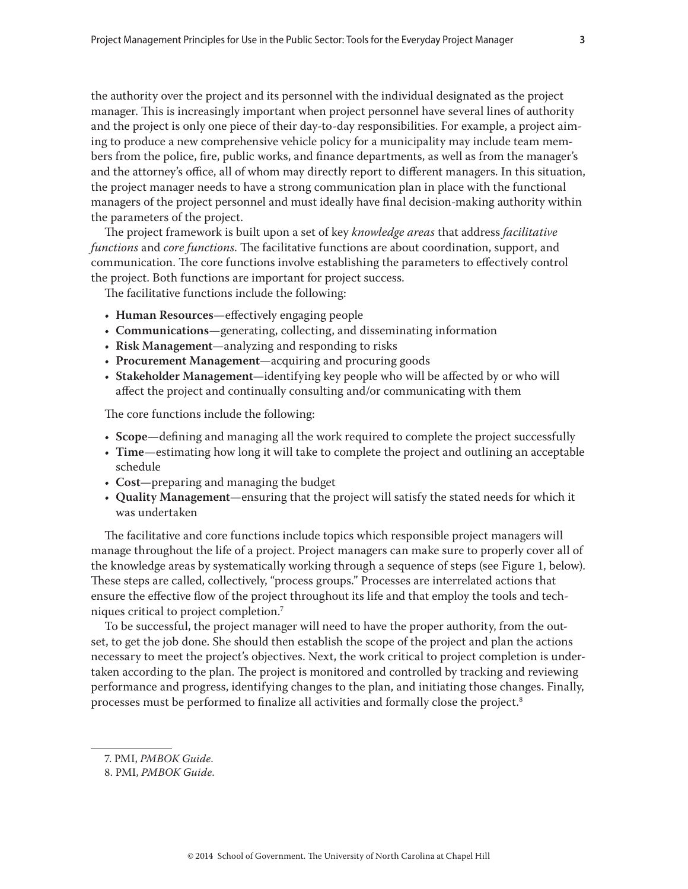the authority over the project and its personnel with the individual designated as the project manager. This is increasingly important when project personnel have several lines of authority and the project is only one piece of their day-to-day responsibilities. For example, a project aiming to produce a new comprehensive vehicle policy for a municipality may include team members from the police, fire, public works, and finance departments, as well as from the manager's and the attorney's office, all of whom may directly report to different managers. In this situation, the project manager needs to have a strong communication plan in place with the functional managers of the project personnel and must ideally have final decision-making authority within the parameters of the project.

The project framework is built upon a set of key *knowledge areas* that address *facilitative functions* and *core functions*. The facilitative functions are about coordination, support, and communication. The core functions involve establishing the parameters to effectively control the project. Both functions are important for project success.

The facilitative functions include the following:

- **Human Resources**—effectively engaging people
- **Communications**—generating, collecting, and disseminating information
- **Risk Management**—analyzing and responding to risks
- **Procurement Management**—acquiring and procuring goods
- **Stakeholder Management**—identifying key people who will be affected by or who will affect the project and continually consulting and/or communicating with them

The core functions include the following:

- **Scope**—defining and managing all the work required to complete the project successfully
- **Time**—estimating how long it will take to complete the project and outlining an acceptable schedule
- **Cost**—preparing and managing the budget
- **Quality Management**—ensuring that the project will satisfy the stated needs for which it was undertaken

The facilitative and core functions include topics which responsible project managers will manage throughout the life of a project. Project managers can make sure to properly cover all of the knowledge areas by systematically working through a sequence of steps (see Figure 1, below). These steps are called, collectively, "process groups." Processes are interrelated actions that ensure the effective flow of the project throughout its life and that employ the tools and techniques critical to project completion.7

To be successful, the project manager will need to have the proper authority, from the outset, to get the job done. She should then establish the scope of the project and plan the actions necessary to meet the project's objectives. Next, the work critical to project completion is undertaken according to the plan. The project is monitored and controlled by tracking and reviewing performance and progress, identifying changes to the plan, and initiating those changes. Finally, processes must be performed to finalize all activities and formally close the project.<sup>8</sup>

<sup>7.</sup> PMI, *PMBOK Guide*.

<sup>8.</sup> PMI, *PMBOK Guide*.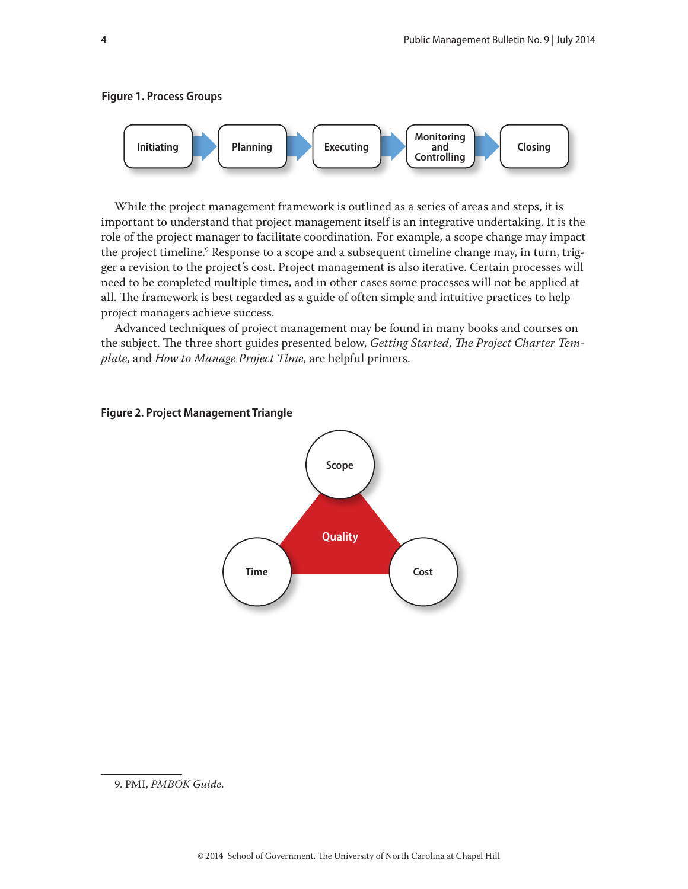



While the project management framework is outlined as a series of areas and steps, it is important to understand that project management itself is an integrative undertaking. It is the role of the project manager to facilitate coordination. For example, a scope change may impact the project timeline.<sup>9</sup> Response to a scope and a subsequent timeline change may, in turn, trigger a revision to the project's cost. Project management is also iterative. Certain processes will need to be completed multiple times, and in other cases some processes will not be applied at all. The framework is best regarded as a guide of often simple and intuitive practices to help project managers achieve success.

Advanced techniques of project management may be found in many books and courses on the subject. The three short guides presented below, *Getting Started*, *The Project Charter Template*, and *How to Manage Project Time*, are helpful primers.



#### **Figure 2. Project Management Triangle**

<sup>9.</sup> PMI, *PMBOK Guide*.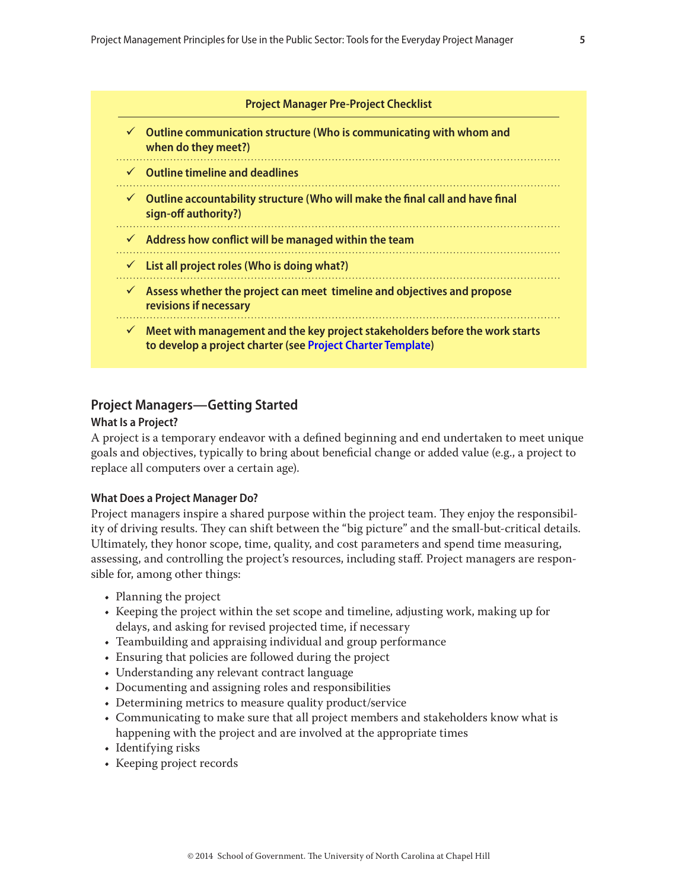<span id="page-4-0"></span>

| <b>Project Manager Pre-Project Checklist</b> |                                                                                                                                                          |  |  |  |
|----------------------------------------------|----------------------------------------------------------------------------------------------------------------------------------------------------------|--|--|--|
|                                              | $\checkmark$ Outline communication structure (Who is communicating with whom and<br>when do they meet?)                                                  |  |  |  |
|                                              | $\checkmark$ Outline timeline and deadlines                                                                                                              |  |  |  |
|                                              | $\checkmark$ Outline accountability structure (Who will make the final call and have final<br>sign-off authority?)                                       |  |  |  |
|                                              | $\checkmark$ Address how conflict will be managed within the team                                                                                        |  |  |  |
|                                              | $\checkmark$ List all project roles (Who is doing what?)                                                                                                 |  |  |  |
|                                              | Assess whether the project can meet timeline and objectives and propose<br>revisions if necessary                                                        |  |  |  |
|                                              | $\checkmark$ Meet with management and the key project stakeholders before the work starts<br>to develop a project charter (see Project Charter Template) |  |  |  |

## **Project Managers—Getting Started**

#### **What Is a Project?**

A [project](http://en.wikipedia.org/wiki/Project) is a temporary endeavor with a defined beginning and end undertaken to meet unique goals and objectives, typically to bring about beneficial change or added value (e.g., a project to replace all computers over a certain age).

#### **What Does a Project Manager Do?**

Project managers inspire a shared purpose within the project team. They enjoy the responsibility of driving results. They can shift between the "big picture" and the small-but-critical details. Ultimately, they honor [scope,](http://en.wikipedia.org/wiki/Scope_(project_management)) time, quality, and cost parameters and spend time measuring, assessing, and controlling the project's resources, including staff. Project managers are responsible for, among other things:

- Planning the project
- Keeping the project within the set scope and timeline, adjusting work, making up for delays, and asking for revised projected time, if necessary
- Teambuilding and appraising individual and group performance
- Ensuring that policies are followed during the project
- Understanding any relevant contract language
- Documenting and assigning roles and responsibilities
- Determining metrics to measure quality product/service
- Communicating to make sure that all project members and stakeholders know what is happening with the project and are involved at the appropriate times
- Identifying risks
- Keeping project records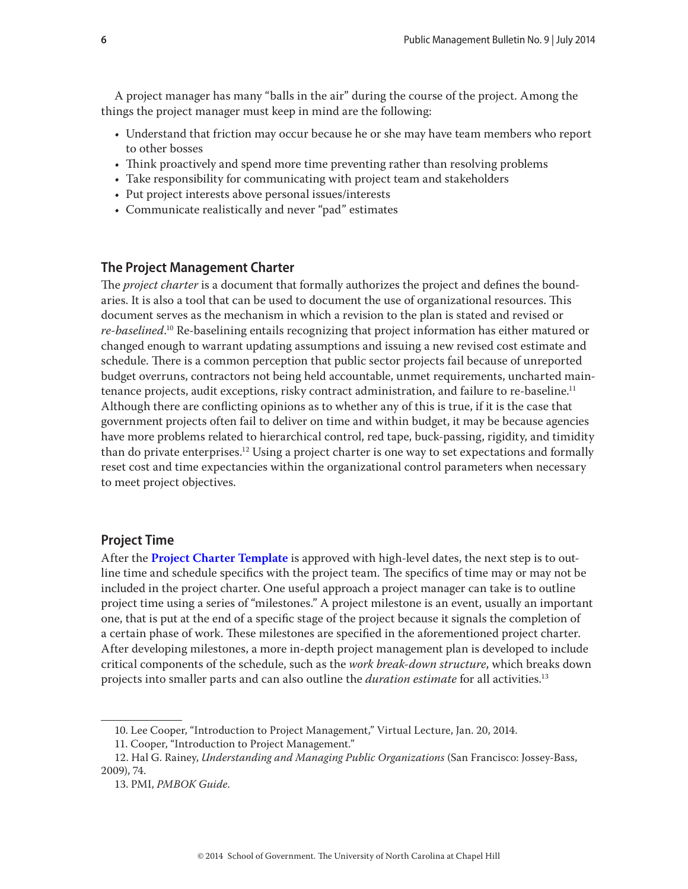A project manager has many "balls in the air" during the course of the project. Among the things the project manager must keep in mind are the following:

- Understand that friction may occur because he or she may have team members who report to other bosses
- Think proactively and spend more time preventing rather than resolving problems
- Take responsibility for communicating with project team and stakeholders
- Put project interests above personal issues/interests
- Communicate realistically and never "pad" estimates

## **The Project Management Charter**

The *project charter* is a document that formally authorizes the project and defines the boundaries. It is also a tool that can be used to document the use of organizational resources. This document serves as the mechanism in which a revision to the plan is stated and revised or *re-baselined*. 10 Re-baselining entails recognizing that project information has either matured or changed enough to warrant updating assumptions and issuing a new revised cost estimate and schedule. There is a common perception that public sector projects fail because of unreported budget overruns, contractors not being held accountable, unmet requirements, uncharted maintenance projects, audit exceptions, risky contract administration, and failure to re-baseline.<sup>11</sup> Although there are conflicting opinions as to whether any of this is true, if it is the case that government projects often fail to deliver on time and within budget, it may be because agencies have more problems related to hierarchical control, red tape, buck-passing, rigidity, and timidity than do private enterprises.<sup>12</sup> Using a project charter is one way to set expectations and formally reset cost and time expectancies within the organizational control parameters when necessary to meet project objectives.

#### **Project Time**

After the **[Project Charter Template](#page-9-0)** is approved with high-level dates, the next step is to outline time and schedule specifics with the project team. The specifics of time may or may not be included in the project charter. One useful approach a project manager can take is to outline project time using a series of "milestones." A project milestone is an event, usually an important one, that is put at the end of a specific stage of the project because it signals the completion of a certain phase of work. These milestones are specified in the aforementioned project charter. After developing milestones, a more in-depth project management plan is developed to include critical components of the schedule, such as the *work break-down structure*, which breaks down projects into smaller parts and can also outline the *duration estimate* for all activities.13

<sup>10.</sup> Lee Cooper, "Introduction to Project Management," Virtual Lecture, Jan. 20, 2014.

<sup>11.</sup> Cooper, "Introduction to Project Management."

<sup>12.</sup> Hal G. Rainey, *Understanding and Managing Public Organizations* (San Francisco: Jossey-Bass, 2009), 74.

<sup>13.</sup> PMI, *PMBOK Guide*.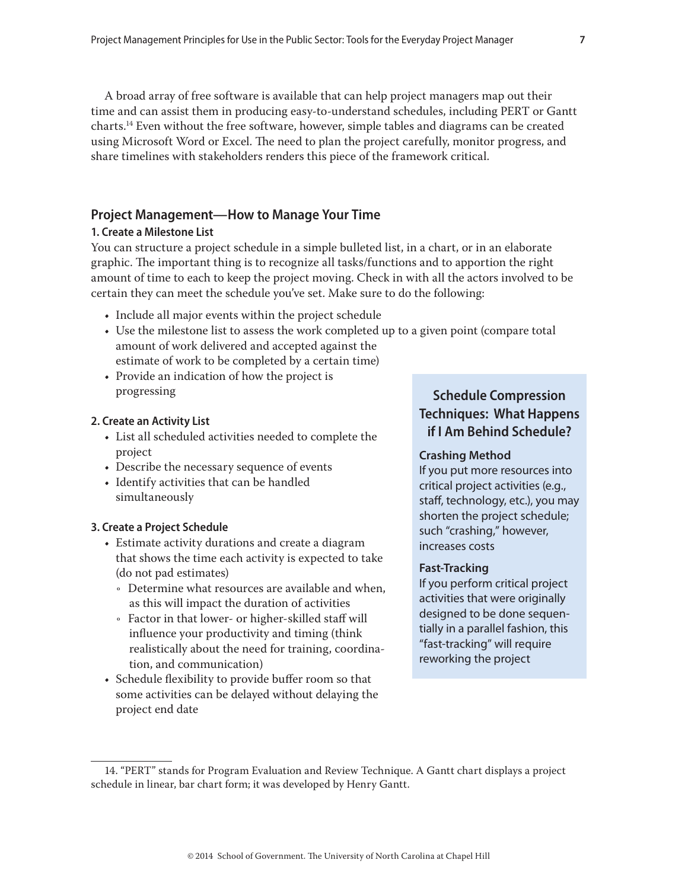A broad array of free software is available that can help project managers map out their time and can assist them in producing easy-to-understand schedules, including PERT or Gantt charts.14 Even without the free software, however, simple tables and diagrams can be created using Microsoft Word or Excel. The need to plan the project carefully, monitor progress, and share timelines with stakeholders renders this piece of the framework critical.

# **Project Management—How to Manage Your Time**

#### **1. Create a Milestone List**

You can structure a project schedule in a simple bulleted list, in a chart, or in an elaborate graphic. The important thing is to recognize all tasks/functions and to apportion the right amount of time to each to keep the project moving. Check in with all the actors involved to be certain they can meet the schedule you've set. Make sure to do the following:

- Include all major events within the project schedule
- Use the milestone list to assess the work completed up to a given point (compare total amount of work delivered and accepted against the estimate of work to be completed by a certain time)
- Provide an indication of how the project is progressing

#### **2. Create an Activity List**

- List all scheduled activities needed to complete the project
- Describe the necessary sequence of events
- Identify activities that can be handled simultaneously

#### **3. Create a Project Schedule**

- Estimate activity durations and create a diagram that shows the time each activity is expected to take (do not pad estimates)
	- Ǟ Determine what resources are available and when, as this will impact the duration of activities
	- Ǟ Factor in that lower- or higher-skilled staff will influence your productivity and timing (think realistically about the need for training, coordination, and communication)
- Schedule flexibility to provide buffer room so that some activities can be delayed without delaying the project end date

# **Schedule Compression Techniques: What Happens if I Am Behind Schedule?**

#### **Crashing Method**

If you put more resources into critical project activities (e.g., staff, technology, etc.), you may shorten the project schedule; such "crashing," however, increases costs

#### **Fast-Tracking**

If you perform critical project activities that were originally designed to be done sequentially in a parallel fashion, this "fast-tracking" will require reworking the project

<sup>14. &</sup>quot;PERT" stands for Program Evaluation and Review Technique. A Gantt chart displays a project schedule in linear, bar chart form; it was developed by Henry Gantt.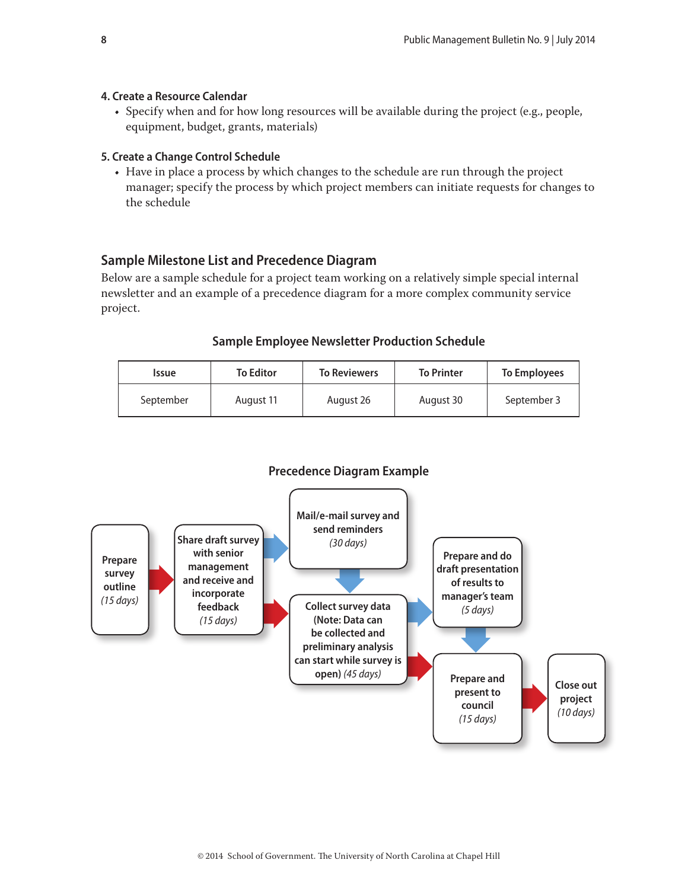#### **4. Create a Resource Calendar**

• Specify when and for how long resources will be available during the project (e.g., people, equipment, budget, grants, materials)

#### **5. Create a Change Control Schedule**

• Have in place a process by which changes to the schedule are run through the project manager; specify the process by which project members can initiate requests for changes to the schedule

# **Sample Milestone List and Precedence Diagram**

Below are a sample schedule for a project team working on a relatively simple special internal newsletter and an example of a precedence diagram for a more complex community service project.

# **Sample Employee Newsletter Production Schedule**

| <b>Issue</b> | <b>To Editor</b> | <b>To Reviewers</b> | <b>To Printer</b> | To Employees |
|--------------|------------------|---------------------|-------------------|--------------|
| September    | August 11        | August 26           | August 30         | September 3  |



# **Precedence Diagram Example**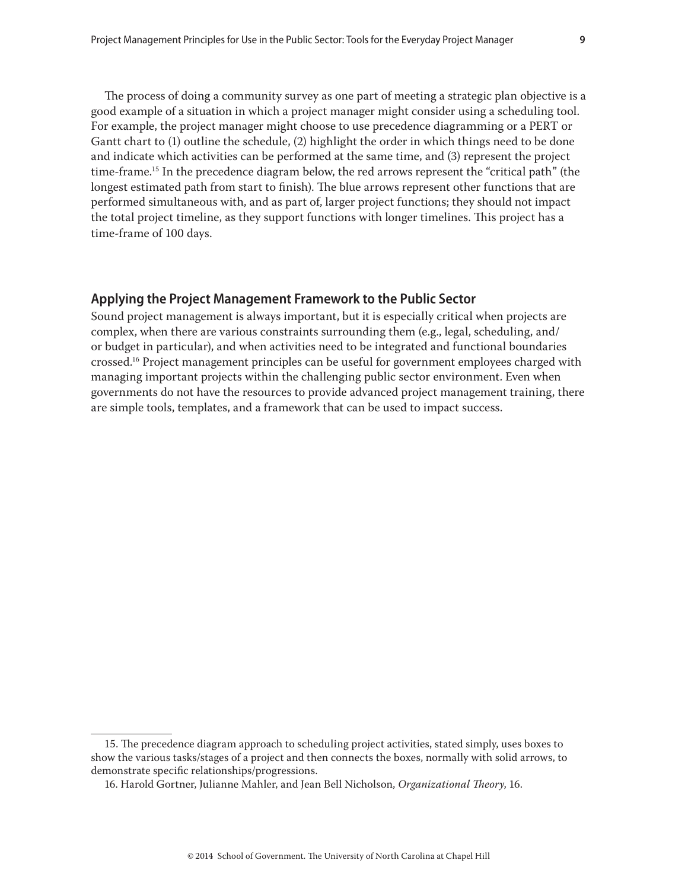The process of doing a community survey as one part of meeting a strategic plan objective is a good example of a situation in which a project manager might consider using a scheduling tool. For example, the project manager might choose to use precedence diagramming or a PERT or Gantt chart to (1) outline the schedule, (2) highlight the order in which things need to be done and indicate which activities can be performed at the same time, and (3) represent the project time-frame.<sup>15</sup> In the precedence diagram below, the red arrows represent the "critical path" (the longest estimated path from start to finish). The blue arrows represent other functions that are performed simultaneous with, and as part of, larger project functions; they should not impact the total project timeline, as they support functions with longer timelines. This project has a time-frame of 100 days.

#### **Applying the Project Management Framework to the Public Sector**

Sound project management is always important, but it is especially critical when projects are complex, when there are various constraints surrounding them (e.g., legal, scheduling, and/ or budget in particular), and when activities need to be integrated and functional boundaries crossed.<sup>16</sup> Project management principles can be useful for government employees charged with managing important projects within the challenging public sector environment. Even when governments do not have the resources to provide advanced project management training, there are simple tools, templates, and a framework that can be used to impact success.

<sup>15.</sup> The precedence diagram approach to scheduling project activities, stated simply, uses boxes to show the various tasks/stages of a project and then connects the boxes, normally with solid arrows, to demonstrate specific relationships/progressions.

<sup>16.</sup> Harold Gortner, Julianne Mahler, and Jean Bell Nicholson, *Organizational Theory*, 16.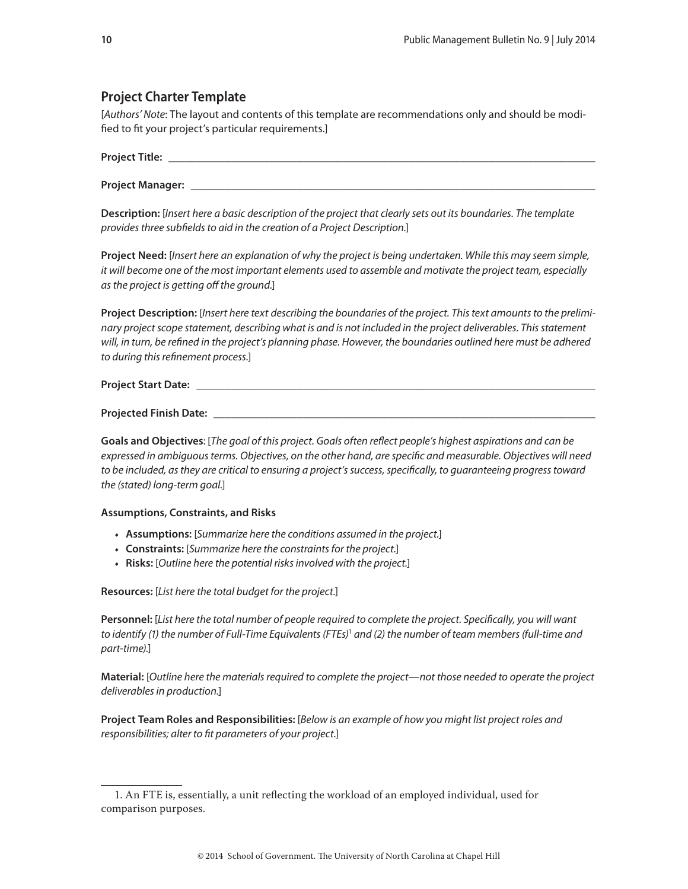# <span id="page-9-0"></span>**Project Charter Template**

[Authors' Note: The layout and contents of this template are recommendations only and should be modified to fit your project's particular requirements.]

| $\sim$ |  |
|--------|--|
|        |  |

Project Manager: \_

Description: [Insert here a basic description of the project that clearly sets out its boundaries. The template provides three subfields to aid in the creation of a Project Description.]

Project Need: [Insert here an explanation of why the project is being undertaken. While this may seem simple, it will become one of the most important elements used to assemble and motivate the project team, especially as the project is getting off the ground.]

Project Description: [Insert here text describing the boundaries of the project. This text amounts to the preliminary project scope statement, describing what is and is not included in the project deliverables. This statement will, in turn, be refined in the project's planning phase. However, the boundaries outlined here must be adhered to during this refinement process.]

**Project Start Date:** 

Projected Finish Date: \_

Goals and Objectives: [The goal of this project. Goals often reflect people's highest aspirations and can be expressed in ambiguous terms. Objectives, on the other hand, are specific and measurable. Objectives will need to be included, as they are critical to ensuring a project's success, specifically, to quaranteeing progress toward the (stated) long-term goal.]

#### **Assumptions, Constraints, and Risks**

- Assumptions: [Summarize here the conditions assumed in the project.]
- Constraints: [Summarize here the constraints for the project.]
- Risks: [Outline here the potential risks involved with the project.]

Resources: [List here the total budget for the project.]

Personnel: [List here the total number of people required to complete the project. Specifically, you will want to identify (1) the number of Full-Time Equivalents (FTEs)<sup>1</sup> and (2) the number of team members (full-time and part-time).]

Material: [Outline here the materials required to complete the project—not those needed to operate the project deliverables in production.]

Project Team Roles and Responsibilities: [Below is an example of how you might list project roles and responsibilities; alter to fit parameters of your project.]

<sup>1.</sup> An FTE is, essentially, a unit reflecting the workload of an employed individual, used for comparison purposes.